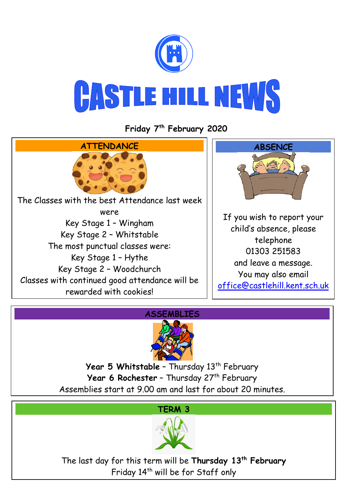

**Friday 7 th February 2020**





Year 5 Whitstable - Thursday 13<sup>th</sup> February **Year 6 Rochester** - Thursday 27<sup>th</sup> February Assemblies start at 9.00 am and last for about 20 minutes.



The last day for this term will be **Thursday 13th February** Friday 14<sup>th</sup> will be for Staff only